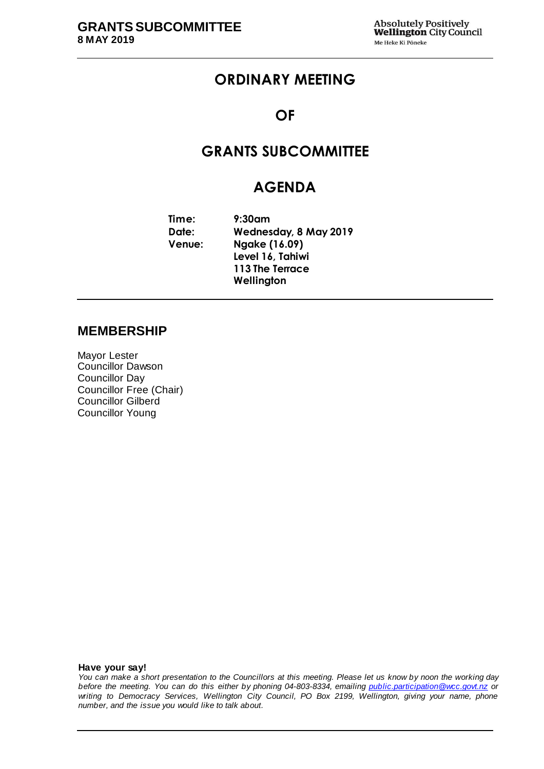# **ORDINARY MEETING**

## **OF**

# **GRANTS SUBCOMMITTEE**

## **AGENDA**

**Time: 9:30am Date: Wednesday, 8 May 2019 Venue: Ngake (16.09) Level 16, Tahiwi 113 The Terrace Wellington**

#### **MEMBERSHIP**

Mayor Lester Councillor Dawson Councillor Day Councillor Free (Chair) Councillor Gilberd Councillor Young

**Have your say!**

*You can make a short presentation to the Councillors at this meeting. Please let us know by noon the working day before the meeting. You can do this either by phoning 04-803-8334, emailing public.participation@wcc.govt.nz or writing to Democracy Services, Wellington City Council, PO Box 2199, Wellington, giving your name, phone number, and the issue you would like to talk about.*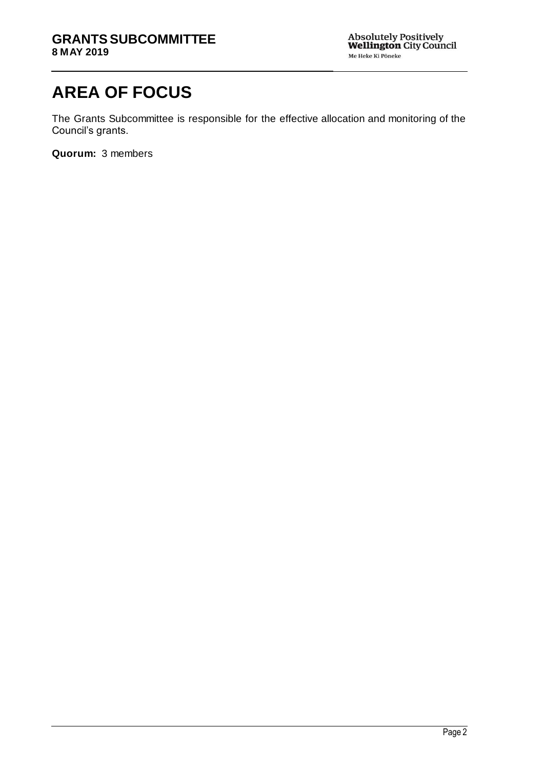# **AREA OF FOCUS**

The Grants Subcommittee is responsible for the effective allocation and monitoring of the Council's grants.

**Quorum:** 3 members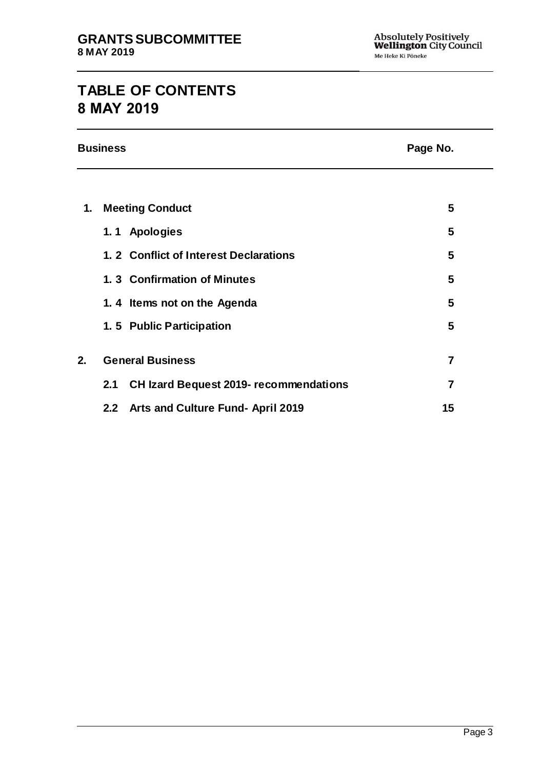# **TABLE OF CONTENTS 8 MAY 2019**

|    | <b>Business</b>                                      | Page No.       |  |  |
|----|------------------------------------------------------|----------------|--|--|
|    |                                                      |                |  |  |
| 1. | <b>Meeting Conduct</b>                               | 5              |  |  |
|    | 1.1 Apologies                                        | 5              |  |  |
|    | 1. 2 Conflict of Interest Declarations               | 5              |  |  |
|    | 1.3 Confirmation of Minutes                          | 5              |  |  |
|    | 1.4 Items not on the Agenda                          | 5              |  |  |
|    | 1.5 Public Participation                             | 5              |  |  |
| 2. | <b>General Business</b>                              | $\overline{7}$ |  |  |
|    | <b>CH Izard Bequest 2019- recommendations</b><br>2.1 | $\overline{7}$ |  |  |
|    | Arts and Culture Fund- April 2019<br>2.2             | 15             |  |  |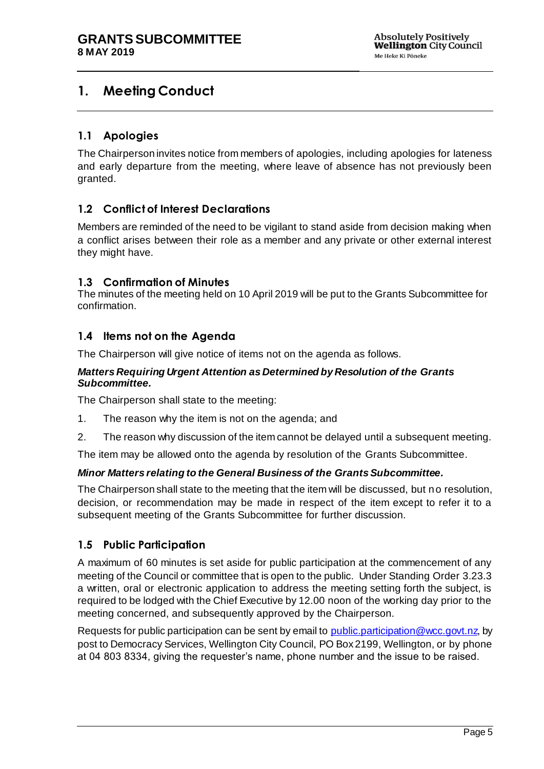# <span id="page-4-0"></span>**1. Meeting Conduct**

#### <span id="page-4-1"></span>**1.1 Apologies**

The Chairperson invites notice from members of apologies, including apologies for lateness and early departure from the meeting, where leave of absence has not previously been granted.

#### <span id="page-4-2"></span>**1.2 Conflict of Interest Declarations**

Members are reminded of the need to be vigilant to stand aside from decision making when a conflict arises between their role as a member and any private or other external interest they might have.

#### <span id="page-4-3"></span>**1.3 Confirmation of Minutes**

The minutes of the meeting held on 10 April 2019 will be put to the Grants Subcommittee for confirmation.

#### <span id="page-4-4"></span>**1.4 Items not on the Agenda**

The Chairperson will give notice of items not on the agenda as follows.

#### *Matters Requiring Urgent Attention as Determined by Resolution of the Grants Subcommittee.*

The Chairperson shall state to the meeting:

- 1. The reason why the item is not on the agenda; and
- 2. The reason why discussion of the item cannot be delayed until a subsequent meeting.

The item may be allowed onto the agenda by resolution of the Grants Subcommittee.

#### *Minor Matters relating to the General Business of the Grants Subcommittee.*

The Chairperson shall state to the meeting that the item will be discussed, but no resolution, decision, or recommendation may be made in respect of the item except to refer it to a subsequent meeting of the Grants Subcommittee for further discussion.

#### <span id="page-4-5"></span>**1.5 Public Participation**

A maximum of 60 minutes is set aside for public participation at the commencement of any meeting of the Council or committee that is open to the public. Under Standing Order 3.23.3 a written, oral or electronic application to address the meeting setting forth the subject, is required to be lodged with the Chief Executive by 12.00 noon of the working day prior to the meeting concerned, and subsequently approved by the Chairperson.

Requests for public participation can be sent by email to [public.participation@wcc.govt.nz,](mailto:public.participation@wcc.govt.nz) by post to Democracy Services, Wellington City Council, PO Box 2199, Wellington, or by phone at 04 803 8334, giving the requester's name, phone number and the issue to be raised.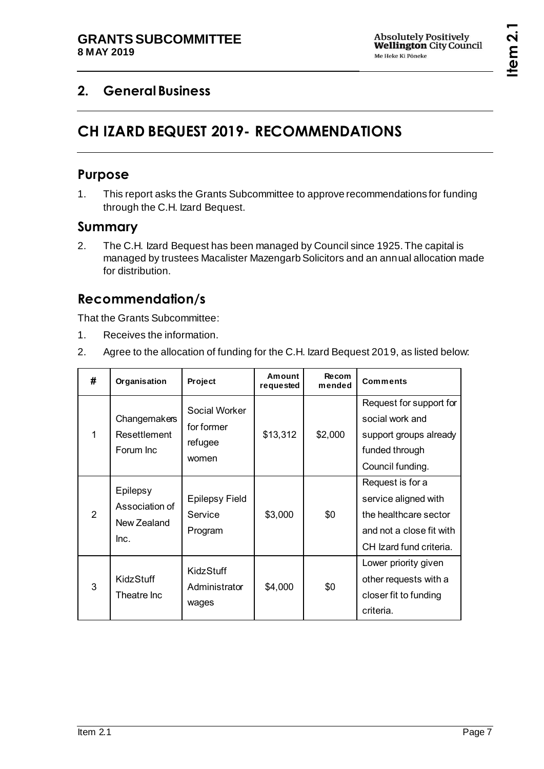# <span id="page-6-1"></span><span id="page-6-0"></span>**2. General Business**

# **CH IZARD BEQUEST 2019- RECOMMENDATIONS**

# **Purpose**

1. This report asks the Grants Subcommittee to approve recommendations for funding through the C.H. Izard Bequest.

# **Summary**

2. The C.H. Izard Bequest has been managed by Council since 1925. The capital is managed by trustees Macalister Mazengarb Solicitors and an annual allocation made for distribution.

# **Recommendation/s**

That the Grants Subcommittee:

- 1. Receives the information.
- 2. Agree to the allocation of funding for the C.H. Izard Bequest 2019, as listed below:

| #             | Organisation                                      | Project                                         | Amount<br>requested | Recom<br>mended | <b>Comments</b>                                                                                                          |
|---------------|---------------------------------------------------|-------------------------------------------------|---------------------|-----------------|--------------------------------------------------------------------------------------------------------------------------|
| 1             | Changemakers<br>Resettlement<br>Forum Inc         | Social Worker<br>for former<br>refugee<br>women | \$13,312            | \$2,000         | Request for support for<br>social work and<br>support groups already<br>funded through<br>Council funding.               |
| $\mathcal{P}$ | Epilepsy<br>Association of<br>New Zealand<br>Inc. | <b>Epilepsy Field</b><br>Service<br>Program     | \$3,000             | \$0             | Request is for a<br>service aligned with<br>the healthcare sector<br>and not a close fit with<br>CH Izard fund criteria. |
| 3             | KidzStuff<br>Theatre Inc                          | KidzStuff<br>Administrator<br>wages             | \$4,000             | \$0             | Lower priority given<br>other requests with a<br>closer fit to funding<br>criteria.                                      |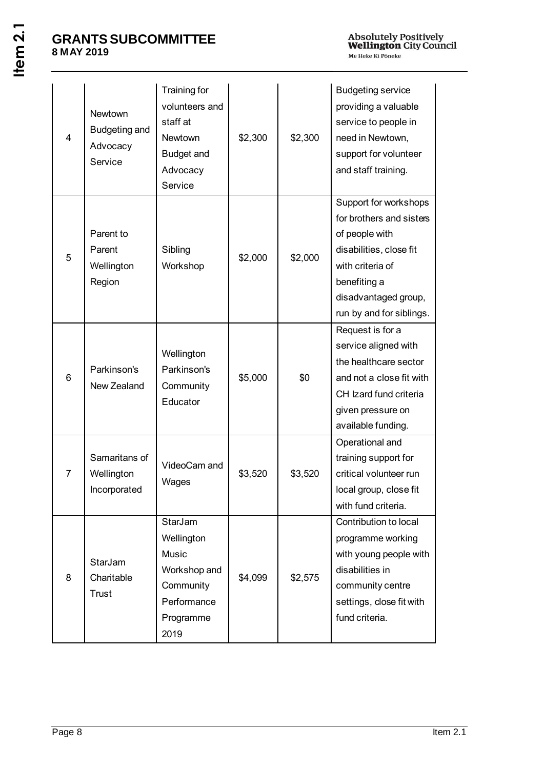| $\overline{4}$ | Newtown<br><b>Budgeting and</b><br>Advocacy<br>Service | Training for<br>volunteers and<br>staff at<br>Newtown<br>Budget and<br>Advocacy<br>Service      | \$2,300 | \$2,300 | <b>Budgeting service</b><br>providing a valuable<br>service to people in<br>need in Newtown,<br>support for volunteer<br>and staff training.                                           |
|----------------|--------------------------------------------------------|-------------------------------------------------------------------------------------------------|---------|---------|----------------------------------------------------------------------------------------------------------------------------------------------------------------------------------------|
| 5              | Parent to<br>Parent<br>Wellington<br>Region            | Sibling<br>Workshop                                                                             | \$2,000 | \$2,000 | Support for workshops<br>for brothers and sisters<br>of people with<br>disabilities, close fit<br>with criteria of<br>benefiting a<br>disadvantaged group,<br>run by and for siblings. |
| 6              | Parkinson's<br>New Zealand                             | Wellington<br>Parkinson's<br>Community<br>Educator                                              | \$5,000 | \$0     | Request is for a<br>service aligned with<br>the healthcare sector<br>and not a close fit with<br>CH Izard fund criteria<br>given pressure on<br>available funding.                     |
| $\overline{7}$ | Samaritans of<br>Wellington<br>Incorporated            | VideoCam and<br>Wages                                                                           | \$3,520 | \$3,520 | Operational and<br>training support for<br>critical volunteer run<br>local group, close fit<br>with fund criteria.                                                                     |
| 8              | StarJam<br>Charitable<br>Trust                         | StarJam<br>Wellington<br>Music<br>Workshop and<br>Community<br>Performance<br>Programme<br>2019 | \$4,099 | \$2,575 | Contribution to local<br>programme working<br>with young people with<br>disabilities in<br>community centre<br>settings, close fit with<br>fund criteria.                              |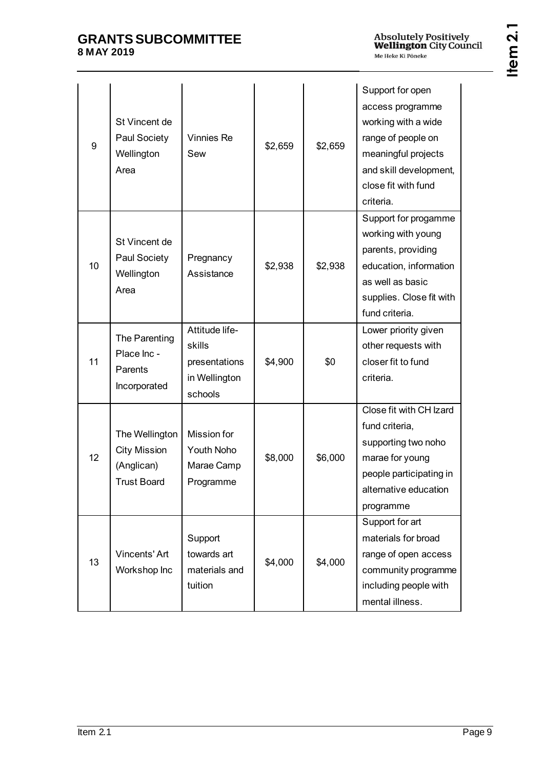| 9               | St Vincent de<br>Paul Society<br>Wellington<br>Area                       | Vinnies Re<br>Sew                                                     | \$2,659 | \$2,659 | Support for open<br>access programme<br>working with a wide<br>range of people on<br>meaningful projects<br>and skill development,<br>close fit with fund<br>criteria. |
|-----------------|---------------------------------------------------------------------------|-----------------------------------------------------------------------|---------|---------|------------------------------------------------------------------------------------------------------------------------------------------------------------------------|
| 10              | St Vincent de<br>Paul Society<br>Wellington<br>Area                       | Pregnancy<br>Assistance                                               | \$2,938 | \$2,938 | Support for progamme<br>working with young<br>parents, providing<br>education, information<br>as well as basic<br>supplies. Close fit with<br>fund criteria.           |
| 11              | The Parenting<br>Place Inc -<br>Parents<br>Incorporated                   | Attitude life-<br>skills<br>presentations<br>in Wellington<br>schools | \$4,900 | \$0     | Lower priority given<br>other requests with<br>closer fit to fund<br>criteria.                                                                                         |
| 12 <sup>2</sup> | The Wellington<br><b>City Mission</b><br>(Anglican)<br><b>Trust Board</b> | Mission for<br>Youth Noho<br>Marae Camp<br>Programme                  | \$8,000 | \$6,000 | Close fit with CH Izard<br>fund criteria,<br>supporting two noho<br>marae for young<br>people participating in<br>alternative education<br>programme                   |
| 13              | Vincents' Art<br>Workshop Inc                                             | Support<br>towards art<br>materials and<br>tuition                    | \$4,000 | \$4,000 | Support for art<br>materials for broad<br>range of open access<br>community programme<br>including people with<br>mental illness.                                      |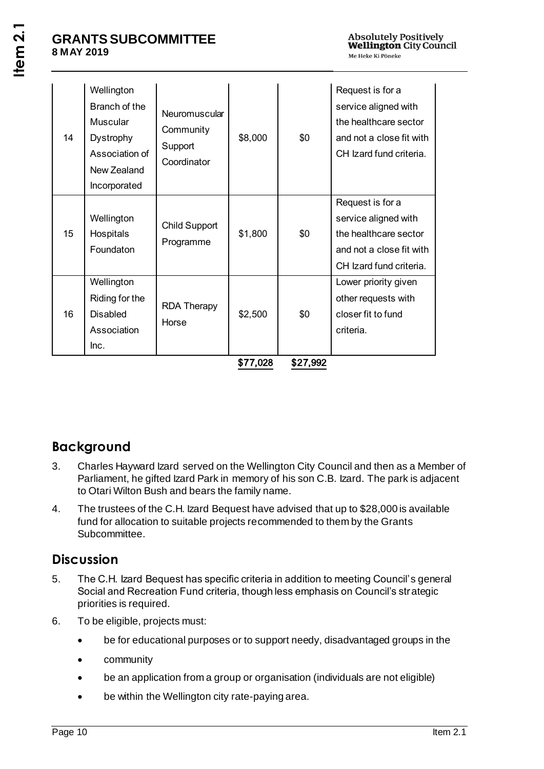| 14 | Wellington<br>Branch of the<br>Muscular<br>Dystrophy<br>Association of<br>New Zealand<br>Incorporated | Neuromuscular<br>Community<br>Support<br>Coordinator | \$8,000  | \$0      | Request is for a<br>service aligned with<br>the healthcare sector<br>and not a close fit with<br>CH Izard fund criteria. |
|----|-------------------------------------------------------------------------------------------------------|------------------------------------------------------|----------|----------|--------------------------------------------------------------------------------------------------------------------------|
| 15 | Wellington<br>Hospitals<br>Foundaton                                                                  | Child Support<br>Programme                           | \$1,800  | \$0      | Request is for a<br>service aligned with<br>the healthcare sector<br>and not a close fit with<br>CH Izard fund criteria. |
| 16 | Wellington<br>Riding for the<br><b>Disabled</b><br>Association<br>Inc.                                | <b>RDA Therapy</b><br>Horse                          | \$2,500  | \$0      | Lower priority given<br>other requests with<br>closer fit to fund<br>criteria.                                           |
|    |                                                                                                       |                                                      | \$77,028 | \$27,992 |                                                                                                                          |

# **Background**

- 3. Charles Hayward Izard served on the Wellington City Council and then as a Member of Parliament, he gifted Izard Park in memory of his son C.B. Izard. The park is adjacent to Otari Wilton Bush and bears the family name.
- 4. The trustees of the C.H. Izard Bequest have advised that up to \$28,000 is available fund for allocation to suitable projects recommended to them by the Grants Subcommittee.

# **Discussion**

- 5. The C.H. Izard Bequest has specific criteria in addition to meeting Council's general Social and Recreation Fund criteria, though less emphasis on Council's strategic priorities is required.
- 6. To be eligible, projects must:
	- be for educational purposes or to support needy, disadvantaged groups in the
	- community
	- be an application from a group or organisation (individuals are not eligible)
	- be within the Wellington city rate-paying area.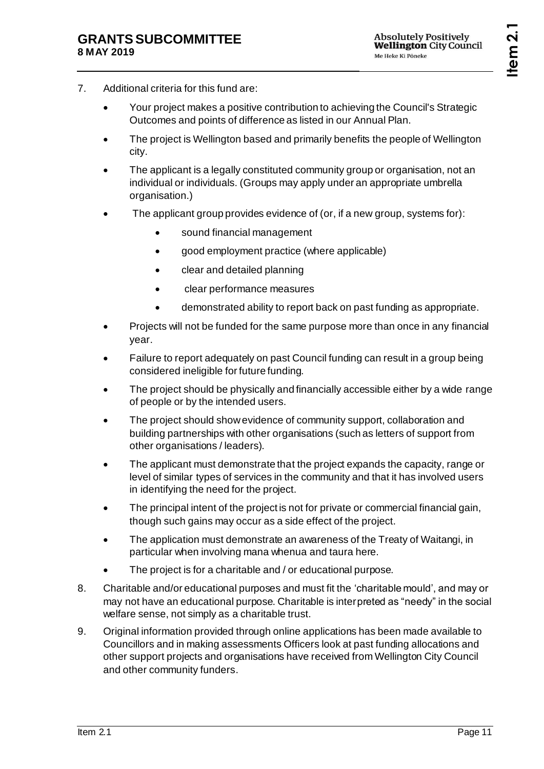- 7. Additional criteria for this fund are:
	- Your project makes a positive contribution to achieving the Council's Strategic Outcomes and points of difference as listed in our Annual Plan.
	- The project is Wellington based and primarily benefits the people of Wellington city.
	- The applicant is a legally constituted community group or organisation, not an individual or individuals. (Groups may apply under an appropriate umbrella organisation.)
	- The applicant group provides evidence of (or, if a new group, systems for):
		- sound financial management
		- good employment practice (where applicable)
		- clear and detailed planning
		- clear performance measures
		- demonstrated ability to report back on past funding as appropriate.
	- Projects will not be funded for the same purpose more than once in any financial year.
	- Failure to report adequately on past Council funding can result in a group being considered ineligible for future funding.
	- The project should be physically and financially accessible either by a wide range of people or by the intended users.
	- The project should show evidence of community support, collaboration and building partnerships with other organisations (such as letters of support from other organisations / leaders).
	- The applicant must demonstrate that the project expands the capacity, range or level of similar types of services in the community and that it has involved users in identifying the need for the project.
	- The principal intent of the project is not for private or commercial financial gain, though such gains may occur as a side effect of the project.
	- The application must demonstrate an awareness of the Treaty of Waitangi, in particular when involving mana whenua and taura here.
	- The project is for a charitable and / or educational purpose.
- 8. Charitable and/or educational purposes and must fit the 'charitable mould', and may or may not have an educational purpose. Charitable is interpreted as "needy" in the social welfare sense, not simply as a charitable trust.
- 9. Original information provided through online applications has been made available to Councillors and in making assessments Officers look at past funding allocations and other support projects and organisations have received from Wellington City Council and other community funders.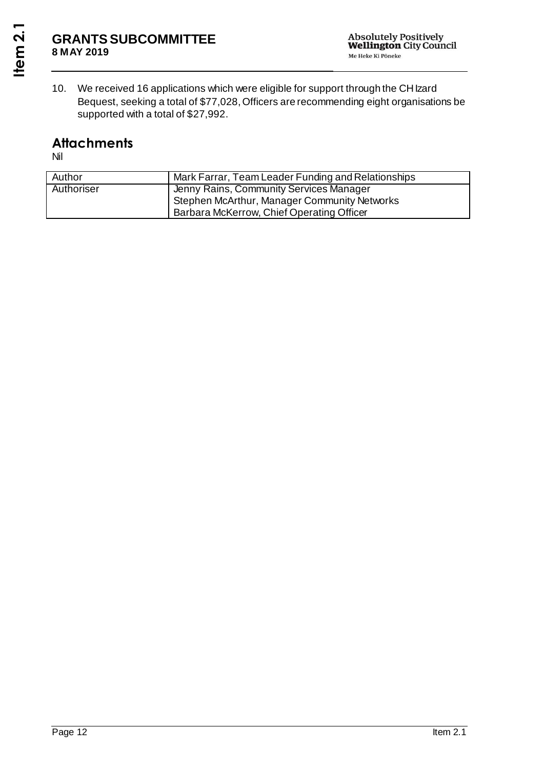10. We received 16 applications which were eligible for support through the CH Izard Bequest, seeking a total of \$77,028, Officers are recommending eight organisations be supported with a total of \$27,992.

# **Attachments**

Nil

| Author     | Mark Farrar, Team Leader Funding and Relationships |
|------------|----------------------------------------------------|
| Authoriser | Jenny Rains, Community Services Manager            |
|            | Stephen McArthur, Manager Community Networks       |
|            | Barbara McKerrow, Chief Operating Officer          |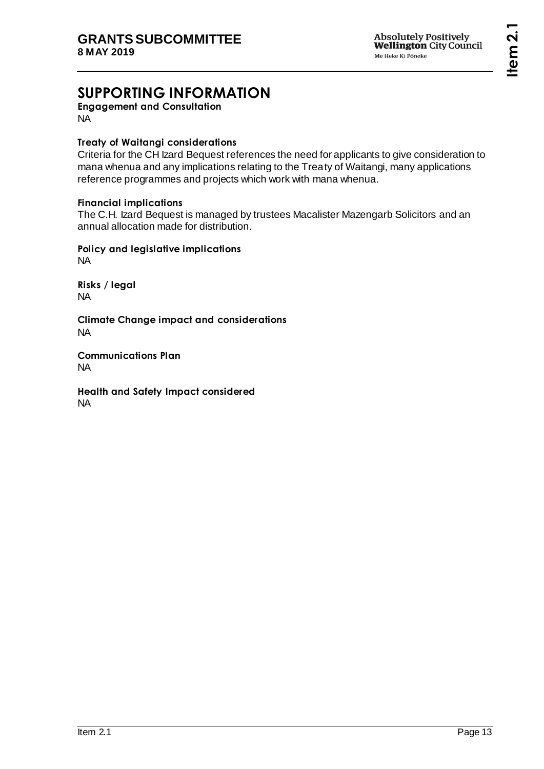# **SUPPORTING INFORMATION**

**Engagement and Consultation** NA

#### **Treaty of Waitangi considerations**

Criteria for the CH Izard Bequest references the need for applicants to give consideration to mana whenua and any implications relating to the Treaty of Waitangi, many applications reference programmes and projects which work with mana whenua.

#### **Financial implications**

The C.H. Izard Bequest is managed by trustees Macalister Mazengarb Solicitors and an annual allocation made for distribution.

**Policy and legislative implications** NA

**Risks / legal**  NA

**Climate Change impact and considerations** NA

**Communications Plan** NA

**Health and Safety Impact considered** NA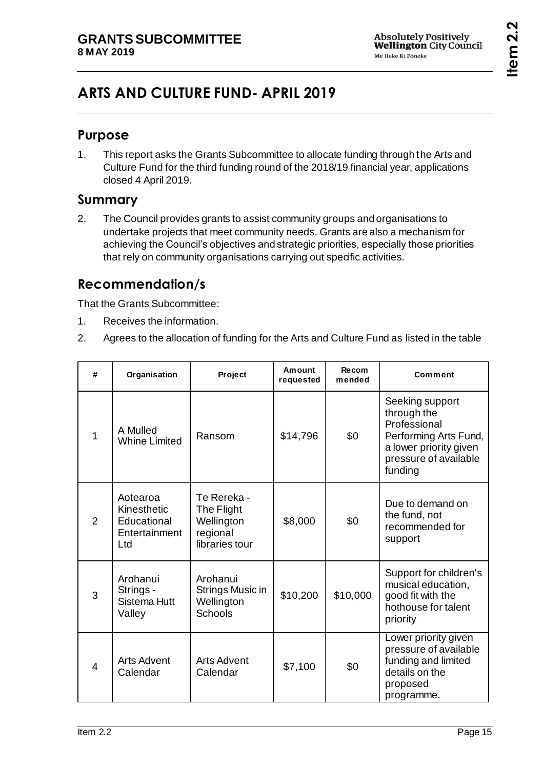# <span id="page-14-0"></span>**ARTS AND CULTURE FUND- APRIL 2019**

### **Purpose**

1. This report asks the Grants Subcommittee to allocate funding through the Arts and Culture Fund for the third funding round of the 2018/19 financial year, applications closed 4 April 2019.

## **Summary**

2. The Council provides grants to assist community groups and organisations to undertake projects that meet community needs. Grants are also a mechanism for achieving the Council's objectives and strategic priorities, especially those priorities that rely on community organisations carrying out specific activities.

# **Recommendation/s**

That the Grants Subcommittee:

- 1. Receives the information.
- 2. Agrees to the allocation of funding for the Arts and Culture Fund as listed in the table

| # | Organisation                                                   | Project                                                               | Amount<br>requested | Recom<br>mended | Comment                                                                                                                               |
|---|----------------------------------------------------------------|-----------------------------------------------------------------------|---------------------|-----------------|---------------------------------------------------------------------------------------------------------------------------------------|
| 1 | A Mulled<br><b>Whine Limited</b>                               | Ransom                                                                | \$14,796            | \$0             | Seeking support<br>through the<br>Professional<br>Performing Arts Fund,<br>a lower priority given<br>pressure of available<br>funding |
| 2 | Aotearoa<br>Kinesthetic<br>Educational<br>Entertainment<br>Ltd | Te Rereka -<br>The Flight<br>Wellington<br>regional<br>libraries tour | \$8,000             | \$0             | Due to demand on<br>the fund, not<br>recommended for<br>support                                                                       |
| 3 | Arohanui<br>Strings -<br><b>Sistema Hutt</b><br>Valley         | Arohanui<br>Strings Music in<br>Wellington<br><b>Schools</b>          | \$10,200            | \$10,000        | Support for children's<br>musical education,<br>good fit with the<br>hothouse for talent<br>priority                                  |
| 4 | <b>Arts Advent</b><br>Calendar                                 | <b>Arts Advent</b><br>Calendar                                        | \$7,100             | \$0             | Lower priority given<br>pressure of available<br>funding and limited<br>details on the<br>proposed<br>programme.                      |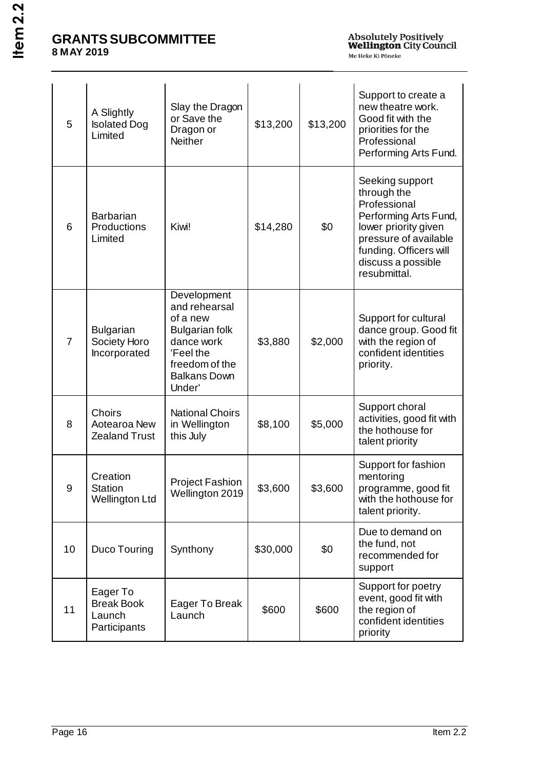| 5               | A Slightly<br><b>Isolated Dog</b><br>Limited            | Slay the Dragon<br>or Save the<br>Dragon or<br><b>Neither</b>                                                                                   | \$13,200 | \$13,200 | Support to create a<br>new theatre work.<br>Good fit with the<br>priorities for the<br>Professional<br>Performing Arts Fund.                                                             |
|-----------------|---------------------------------------------------------|-------------------------------------------------------------------------------------------------------------------------------------------------|----------|----------|------------------------------------------------------------------------------------------------------------------------------------------------------------------------------------------|
| $6\phantom{1}6$ | <b>Barbarian</b><br>Productions<br>Limited              | Kiwi!                                                                                                                                           | \$14,280 | \$0      | Seeking support<br>through the<br>Professional<br>Performing Arts Fund,<br>lower priority given<br>pressure of available<br>funding. Officers will<br>discuss a possible<br>resubmittal. |
| $\overline{7}$  | <b>Bulgarian</b><br>Society Horo<br>Incorporated        | Development<br>and rehearsal<br>of a new<br><b>Bulgarian folk</b><br>dance work<br>'Feel the<br>freedom of the<br><b>Balkans Down</b><br>Under' | \$3,880  | \$2,000  | Support for cultural<br>dance group. Good fit<br>with the region of<br>confident identities<br>priority.                                                                                 |
| 8               | Choirs<br>Aotearoa New<br><b>Zealand Trust</b>          | <b>National Choirs</b><br>in Wellington<br>this July                                                                                            | \$8,100  | \$5,000  | Support choral<br>activities, good fit with<br>the hothouse for<br>talent priority                                                                                                       |
| 9               | Creation<br><b>Station</b><br><b>Wellington Ltd</b>     | <b>Project Fashion</b><br>Wellington 2019                                                                                                       | \$3,600  | \$3,600  | Support for fashion<br>mentoring<br>programme, good fit<br>with the hothouse for<br>talent priority.                                                                                     |
| 10              | Duco Touring                                            | Synthony                                                                                                                                        | \$30,000 | \$0      | Due to demand on<br>the fund, not<br>recommended for<br>support                                                                                                                          |
| 11              | Eager To<br><b>Break Book</b><br>Launch<br>Participants | Eager To Break<br>Launch                                                                                                                        | \$600    | \$600    | Support for poetry<br>event, good fit with<br>the region of<br>confident identities<br>priority                                                                                          |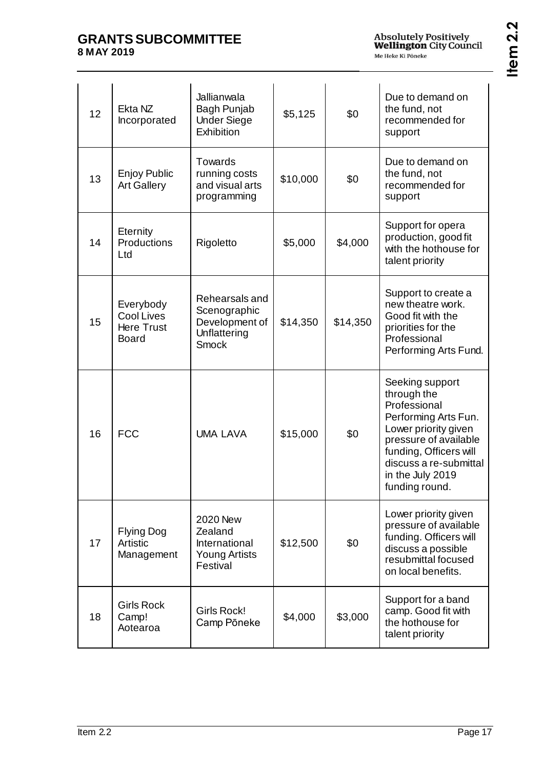| 12 | Ekta NZ<br>Incorporated                                             | Jallianwala<br>Bagh Punjab<br><b>Under Siege</b><br>Exhibition                   | \$5,125  | \$0      | Due to demand on<br>the fund, not<br>recommended for<br>support                                                                                                                                                   |
|----|---------------------------------------------------------------------|----------------------------------------------------------------------------------|----------|----------|-------------------------------------------------------------------------------------------------------------------------------------------------------------------------------------------------------------------|
| 13 | <b>Enjoy Public</b><br><b>Art Gallery</b>                           | Towards<br>running costs<br>and visual arts<br>programming                       | \$10,000 | \$0      | Due to demand on<br>the fund, not<br>recommended for<br>support                                                                                                                                                   |
| 14 | Eternity<br>Productions<br>Ltd                                      | Rigoletto                                                                        | \$5,000  | \$4,000  | Support for opera<br>production, good fit<br>with the hothouse for<br>talent priority                                                                                                                             |
| 15 | Everybody<br><b>Cool Lives</b><br><b>Here Trust</b><br><b>Board</b> | Rehearsals and<br>Scenographic<br>Development of<br>Unflattering<br><b>Smock</b> | \$14,350 | \$14,350 | Support to create a<br>new theatre work.<br>Good fit with the<br>priorities for the<br>Professional<br>Performing Arts Fund.                                                                                      |
| 16 | <b>FCC</b>                                                          | <b>UMA LAVA</b>                                                                  | \$15,000 | \$0      | Seeking support<br>through the<br>Professional<br>Performing Arts Fun.<br>Lower priority given<br>pressure of available<br>funding, Officers will<br>discuss a re-submittal<br>in the July 2019<br>funding round. |
| 17 | <b>Flying Dog</b><br><b>Artistic</b><br>Management                  | <b>2020 New</b><br>Zealand<br>International<br><b>Young Artists</b><br>Festival  | \$12,500 | \$0      | Lower priority given<br>pressure of available<br>funding. Officers will<br>discuss a possible<br>resubmittal focused<br>on local benefits.                                                                        |
| 18 | <b>Girls Rock</b><br>Camp!<br>Aotearoa                              | Girls Rock!<br>Camp Pōneke                                                       | \$4,000  | \$3,000  | Support for a band<br>camp. Good fit with<br>the hothouse for<br>talent priority                                                                                                                                  |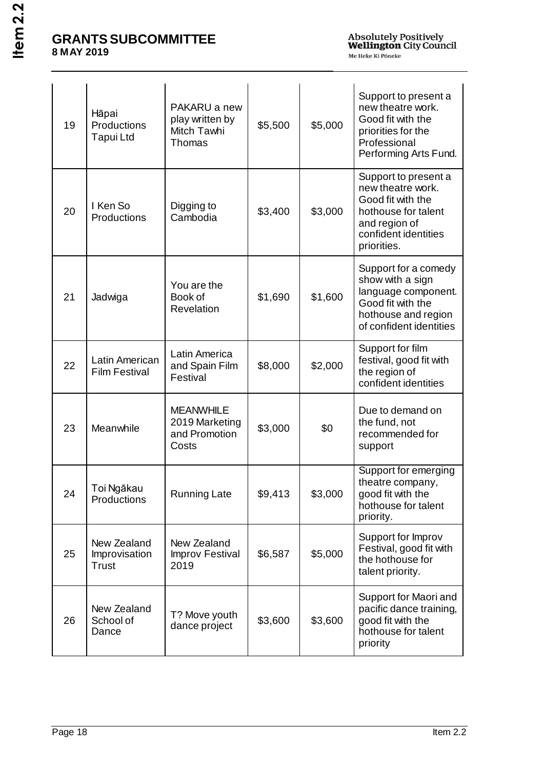| 19 | Hāpai<br>Productions<br>Tapui Ltd            | PAKARU a new<br>play written by<br>Mitch Tawhi<br>Thomas     | \$5,500 | \$5,000 | Support to present a<br>new theatre work.<br>Good fit with the<br>priorities for the<br>Professional<br>Performing Arts Fund.                 |
|----|----------------------------------------------|--------------------------------------------------------------|---------|---------|-----------------------------------------------------------------------------------------------------------------------------------------------|
| 20 | I Ken So<br>Productions                      | Digging to<br>Cambodia                                       | \$3,400 | \$3,000 | Support to present a<br>new theatre work.<br>Good fit with the<br>hothouse for talent<br>and region of<br>confident identities<br>priorities. |
| 21 | Jadwiga                                      | You are the<br>Book of<br>Revelation                         | \$1,690 | \$1,600 | Support for a comedy<br>show with a sign<br>language component.<br>Good fit with the<br>hothouse and region<br>of confident identities        |
| 22 | Latin American<br><b>Film Festival</b>       | Latin America<br>and Spain Film<br>Festival                  | \$8,000 | \$2,000 | Support for film<br>festival, good fit with<br>the region of<br>confident identities                                                          |
| 23 | Meanwhile                                    | <b>MEANWHILE</b><br>2019 Marketing<br>and Promotion<br>Costs | \$3,000 | \$0     | Due to demand on<br>the fund, not<br>recommended for<br>support                                                                               |
| 24 | Toi Ngākau<br>Productions                    | <b>Running Late</b>                                          | \$9,413 | \$3,000 | Support for emerging<br>theatre company,<br>good fit with the<br>hothouse for talent<br>priority.                                             |
| 25 | New Zealand<br>Improvisation<br><b>Trust</b> | New Zealand<br>Improv Festival<br>2019                       | \$6,587 | \$5,000 | Support for Improv<br>Festival, good fit with<br>the hothouse for<br>talent priority.                                                         |
| 26 | New Zealand<br>School of<br>Dance            | T? Move youth<br>dance project                               | \$3,600 | \$3,600 | Support for Maori and<br>pacific dance training,<br>good fit with the<br>hothouse for talent<br>priority                                      |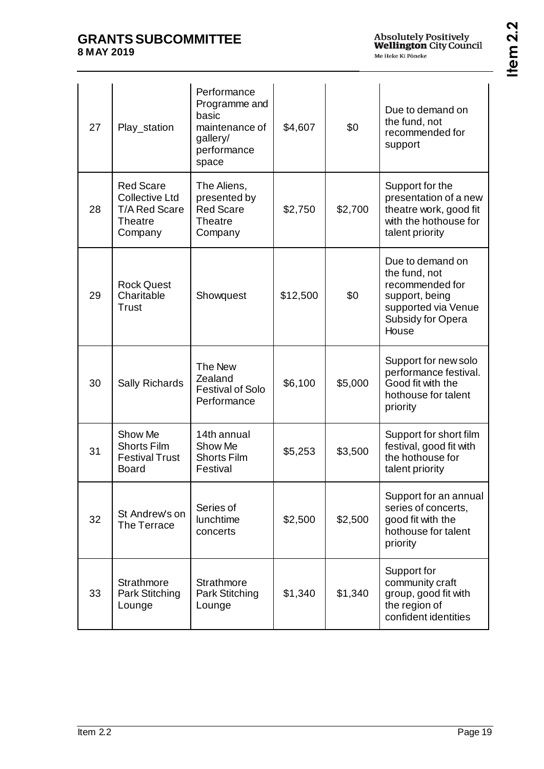| 27 | Play_station                                                                                   | Performance<br>Programme and<br>basic<br>maintenance of<br>gallery/<br>performance<br>space | \$4,607  | \$0     | Due to demand on<br>the fund, not<br>recommended for<br>support                                                             |
|----|------------------------------------------------------------------------------------------------|---------------------------------------------------------------------------------------------|----------|---------|-----------------------------------------------------------------------------------------------------------------------------|
| 28 | <b>Red Scare</b><br><b>Collective Ltd</b><br><b>T/A Red Scare</b><br><b>Theatre</b><br>Company | The Aliens,<br>presented by<br><b>Red Scare</b><br><b>Theatre</b><br>Company                | \$2,750  | \$2,700 | Support for the<br>presentation of a new<br>theatre work, good fit<br>with the hothouse for<br>talent priority              |
| 29 | <b>Rock Quest</b><br>Charitable<br>Trust                                                       | Showquest                                                                                   | \$12,500 | \$0     | Due to demand on<br>the fund, not<br>recommended for<br>support, being<br>supported via Venue<br>Subsidy for Opera<br>House |
| 30 | Sally Richards                                                                                 | The New<br>Zealand<br><b>Festival of Solo</b><br>Performance                                | \$6,100  | \$5,000 | Support for new solo<br>performance festival.<br>Good fit with the<br>hothouse for talent<br>priority                       |
| 31 | Show Me<br><b>Shorts Film</b><br><b>Festival Trust</b><br><b>Board</b>                         | 14th annual<br>Show Me<br><b>Shorts Film</b><br>Festival                                    | \$5,253  | \$3,500 | Support for short film<br>festival, good fit with<br>the hothouse for<br>talent priority                                    |
| 32 | St Andrew's on<br>The Terrace                                                                  | Series of<br>lunchtime<br>concerts                                                          | \$2,500  | \$2,500 | Support for an annual<br>series of concerts,<br>good fit with the<br>hothouse for talent<br>priority                        |
| 33 | <b>Strathmore</b><br>Park Stitching<br>Lounge                                                  | <b>Strathmore</b><br>Park Stitching<br>Lounge                                               | \$1,340  | \$1,340 | Support for<br>community craft<br>group, good fit with<br>the region of<br>confident identities                             |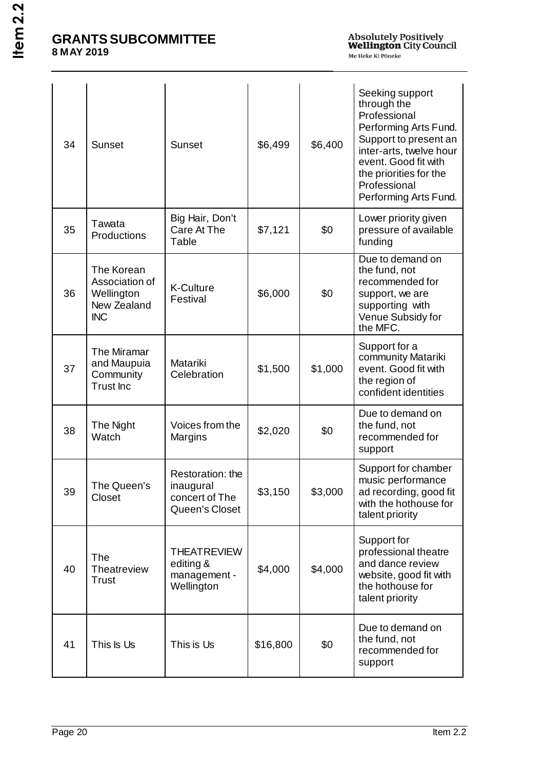| 34 | <b>Sunset</b>                                                           | <b>Sunset</b>                                                     | \$6,499  | \$6,400 | Seeking support<br>through the<br>Professional<br>Performing Arts Fund.<br>Support to present an<br>inter-arts, twelve hour<br>event. Good fit with<br>the priorities for the<br>Professional<br>Performing Arts Fund. |
|----|-------------------------------------------------------------------------|-------------------------------------------------------------------|----------|---------|------------------------------------------------------------------------------------------------------------------------------------------------------------------------------------------------------------------------|
| 35 | Tawata<br>Productions                                                   | Big Hair, Don't<br>Care At The<br>Table                           | \$7,121  | \$0     | Lower priority given<br>pressure of available<br>funding                                                                                                                                                               |
| 36 | The Korean<br>Association of<br>Wellington<br>New Zealand<br><b>INC</b> | <b>K-Culture</b><br>Festival                                      | \$6,000  | \$0     | Due to demand on<br>the fund, not<br>recommended for<br>support, we are<br>supporting with<br>Venue Subsidy for<br>the MFC.                                                                                            |
| 37 | The Miramar<br>and Maupuia<br>Community<br><b>Trust</b> Inc             | Matariki<br>Celebration                                           | \$1,500  | \$1,000 | Support for a<br>community Matariki<br>event. Good fit with<br>the region of<br>confident identities                                                                                                                   |
| 38 | The Night<br>Watch                                                      | Voices from the<br>Margins                                        | \$2,020  | \$0     | Due to demand on<br>the fund, not<br>recommended for<br>support                                                                                                                                                        |
| 39 | The Queen's<br>Closet                                                   | Restoration: the<br>inaugural<br>concert of The<br>Queen's Closet | \$3,150  | \$3,000 | Support for chamber<br>music performance<br>ad recording, good fit<br>with the hothouse for<br>talent priority                                                                                                         |
| 40 | <b>The</b><br>Theatreview<br>Trust                                      | <b>THEATREVIEW</b><br>editing &<br>management -<br>Wellington     | \$4,000  | \$4,000 | Support for<br>professional theatre<br>and dance review<br>website, good fit with<br>the hothouse for<br>talent priority                                                                                               |
| 41 | This Is Us                                                              | This is Us                                                        | \$16,800 | \$0     | Due to demand on<br>the fund, not<br>recommended for<br>support                                                                                                                                                        |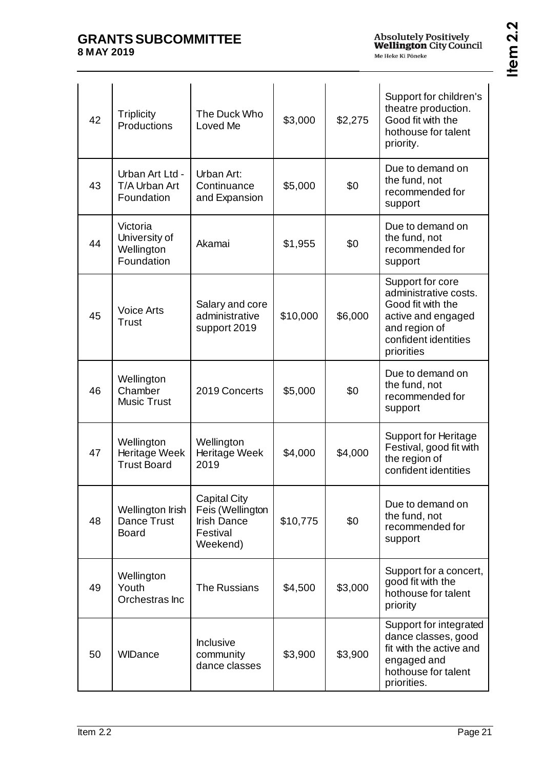| c<br>J.<br>c<br>√ |
|-------------------|
| ≻<br>Φ            |
|                   |

| 42 | <b>Triplicity</b><br>Productions                      | The Duck Who<br>Loved Me                                                              | \$3,000  | \$2,275 | Support for children's<br>theatre production.<br>Good fit with the<br>hothouse for talent<br>priority.                                      |
|----|-------------------------------------------------------|---------------------------------------------------------------------------------------|----------|---------|---------------------------------------------------------------------------------------------------------------------------------------------|
| 43 | Urban Art Ltd -<br>T/A Urban Art<br>Foundation        | Urban Art:<br>Continuance<br>and Expansion                                            | \$5,000  | \$0     | Due to demand on<br>the fund, not<br>recommended for<br>support                                                                             |
| 44 | Victoria<br>University of<br>Wellington<br>Foundation | Akamai                                                                                | \$1,955  | \$0     | Due to demand on<br>the fund, not<br>recommended for<br>support                                                                             |
| 45 | <b>Voice Arts</b><br><b>Trust</b>                     | Salary and core<br>administrative<br>support 2019                                     | \$10,000 | \$6,000 | Support for core<br>administrative costs.<br>Good fit with the<br>active and engaged<br>and region of<br>confident identities<br>priorities |
| 46 | Wellington<br>Chamber<br><b>Music Trust</b>           | 2019 Concerts                                                                         | \$5,000  | \$0     | Due to demand on<br>the fund, not<br>recommended for<br>support                                                                             |
| 47 | Wellington<br>Heritage Week<br><b>Trust Board</b>     | Wellington<br>Heritage Week<br>2019                                                   | \$4,000  | \$4,000 | <b>Support for Heritage</b><br>Festival, good fit with<br>the region of<br>confident identities                                             |
| 48 | Wellington Irish<br>Dance Trust<br><b>Board</b>       | <b>Capital City</b><br>Feis (Wellington<br><b>Irish Dance</b><br>Festival<br>Weekend) | \$10,775 | \$0     | Due to demand on<br>the fund, not<br>recommended for<br>support                                                                             |
| 49 | Wellington<br>Youth<br>Orchestras Inc.                | The Russians                                                                          | \$4,500  | \$3,000 | Support for a concert,<br>good fit with the<br>hothouse for talent<br>priority                                                              |
| 50 | WIDance                                               | <b>Inclusive</b><br>community<br>dance classes                                        | \$3,900  | \$3,900 | Support for integrated<br>dance classes, good<br>fit with the active and<br>engaged and<br>hothouse for talent<br>priorities.               |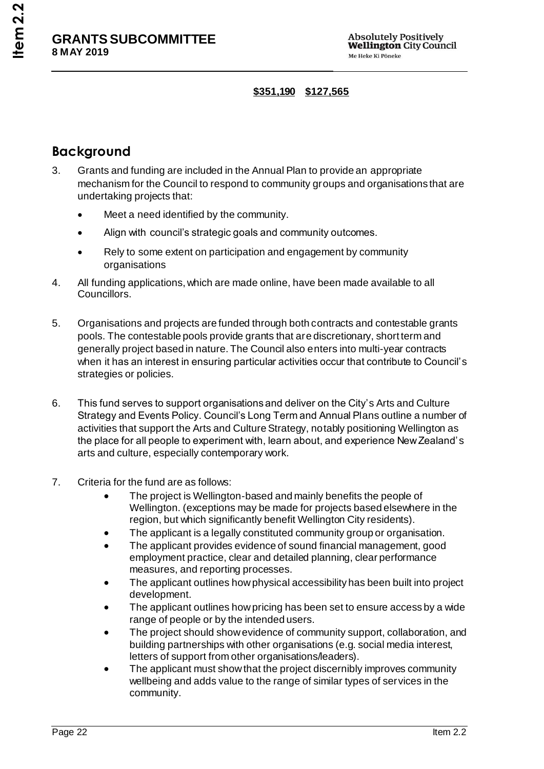#### **\$351,190 \$127,565**

# **Background**

- 3. Grants and funding are included in the Annual Plan to provide an appropriate mechanism for the Council to respond to community groups and organisations that are undertaking projects that:
	- Meet a need identified by the community.
	- Align with council's strategic goals and community outcomes.
	- Rely to some extent on participation and engagement by community organisations
- 4. All funding applications, which are made online, have been made available to all Councillors.
- 5. Organisations and projects are funded through both contracts and contestable grants pools. The contestable pools provide grants that are discretionary, short term and generally project based in nature. The Council also enters into multi-year contracts when it has an interest in ensuring particular activities occur that contribute to Council's strategies or policies.
- 6. This fund serves to support organisations and deliver on the City's Arts and Culture Strategy and Events Policy. Council's Long Term and Annual Plans outline a number of activities that support the Arts and Culture Strategy, notably positioning Wellington as the place for all people to experiment with, learn about, and experience New Zealand's arts and culture, especially contemporary work.
- 7. Criteria for the fund are as follows:
	- The project is Wellington-based and mainly benefits the people of Wellington. (exceptions may be made for projects based elsewhere in the region, but which significantly benefit Wellington City residents).
	- The applicant is a legally constituted community group or organisation.
	- The applicant provides evidence of sound financial management, good employment practice, clear and detailed planning, clear performance measures, and reporting processes.
	- The applicant outlines how physical accessibility has been built into project development.
	- The applicant outlines how pricing has been set to ensure access by a wide range of people or by the intended users.
	- The project should show evidence of community support, collaboration, and building partnerships with other organisations (e.g. social media interest, letters of support from other organisations/leaders).
	- The applicant must show that the project discernibly improves community wellbeing and adds value to the range of similar types of services in the community.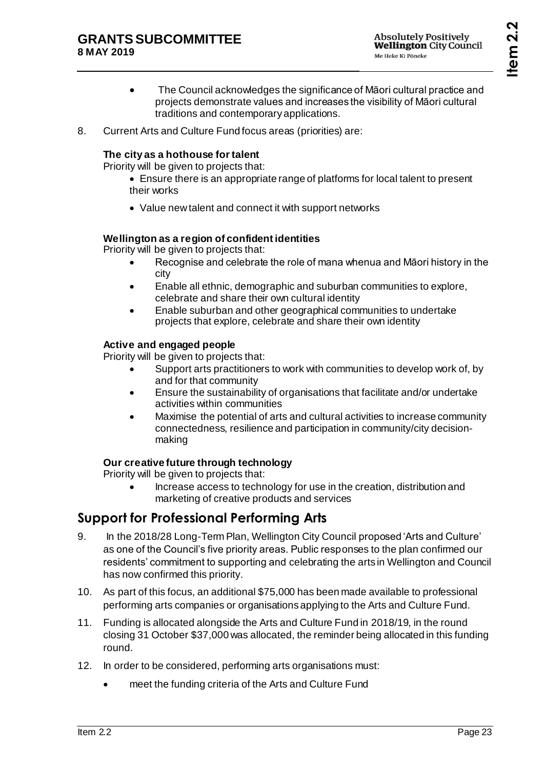- The Council acknowledges the significance of Māori cultural practice and projects demonstrate values and increases the visibility of Māori cultural traditions and contemporary applications.
- 8. Current Arts and Culture Fund focus areas (priorities) are:

#### **The city as a hothouse for talent**

Priority will be given to projects that:

- Ensure there is an appropriate range of platforms for local talent to present their works
- Value new talent and connect it with support networks

#### **Wellington as a region of confident identities**

Priority will be given to projects that:

- Recognise and celebrate the role of mana whenua and Māori history in the city
- Enable all ethnic, demographic and suburban communities to explore, celebrate and share their own cultural identity
- Enable suburban and other geographical communities to undertake projects that explore, celebrate and share their own identity

#### **Active and engaged people**

Priority will be given to projects that:

- Support arts practitioners to work with communities to develop work of, by and for that community
- Ensure the sustainability of organisations that facilitate and/or undertake activities within communities
- Maximise the potential of arts and cultural activities to increase community connectedness, resilience and participation in community/city decisionmaking

#### **Our creative future through technology**

Priority will be given to projects that:

 Increase access to technology for use in the creation, distribution and marketing of creative products and services

# **Support for Professional Performing Arts**

- 9. In the 2018/28 Long-Term Plan, Wellington City Council proposed 'Arts and Culture' as one of the Council's five priority areas. Public responses to the plan confirmed our residents' commitment to supporting and celebrating the arts in Wellington and Council has now confirmed this priority.
- 10. As part of this focus, an additional \$75,000 has been made available to professional performing arts companies or organisations applying to the Arts and Culture Fund.
- 11. Funding is allocated alongside the Arts and Culture Fund in 2018/19, in the round closing 31 October \$37,000 was allocated, the reminder being allocated in this funding round.
- 12. In order to be considered, performing arts organisations must:
	- meet the funding criteria of the Arts and Culture Fund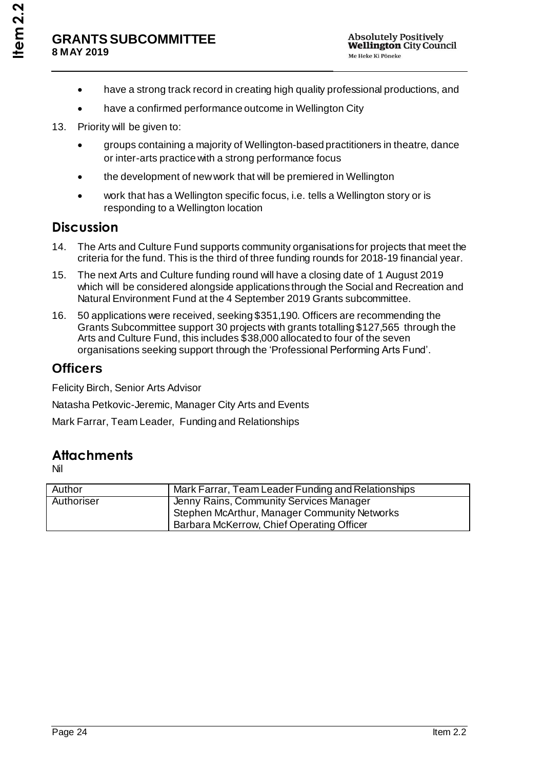- have a strong track record in creating high quality professional productions, and
- have a confirmed performance outcome in Wellington City
- 13. Priority will be given to:
	- groups containing a majority of Wellington-based practitioners in theatre, dance or inter-arts practice with a strong performance focus
	- the development of new work that will be premiered in Wellington
	- work that has a Wellington specific focus, i.e. tells a Wellington story or is responding to a Wellington location

### **Discussion**

- 14. The Arts and Culture Fund supports community organisations for projects that meet the criteria for the fund. This is the third of three funding rounds for 2018-19 financial year.
- 15. The next Arts and Culture funding round will have a closing date of 1 August 2019 which will be considered alongside applications through the Social and Recreation and Natural Environment Fund at the 4 September 2019 Grants subcommittee.
- 16. 50 applications were received, seeking \$351,190. Officers are recommending the Grants Subcommittee support 30 projects with grants totalling \$127,565 through the Arts and Culture Fund, this includes \$38,000 allocated to four of the seven organisations seeking support through the 'Professional Performing Arts Fund'.

### **Officers**

Felicity Birch, Senior Arts Advisor

Natasha Petkovic-Jeremic, Manager City Arts and Events

Mark Farrar, Team Leader, Funding and Relationships

### **Attachments**

Nil

| Author     | Mark Farrar, Team Leader Funding and Relationships |
|------------|----------------------------------------------------|
| Authoriser | <b>Jenny Rains, Community Services Manager</b>     |
|            | Stephen McArthur, Manager Community Networks       |
|            | Barbara McKerrow, Chief Operating Officer          |